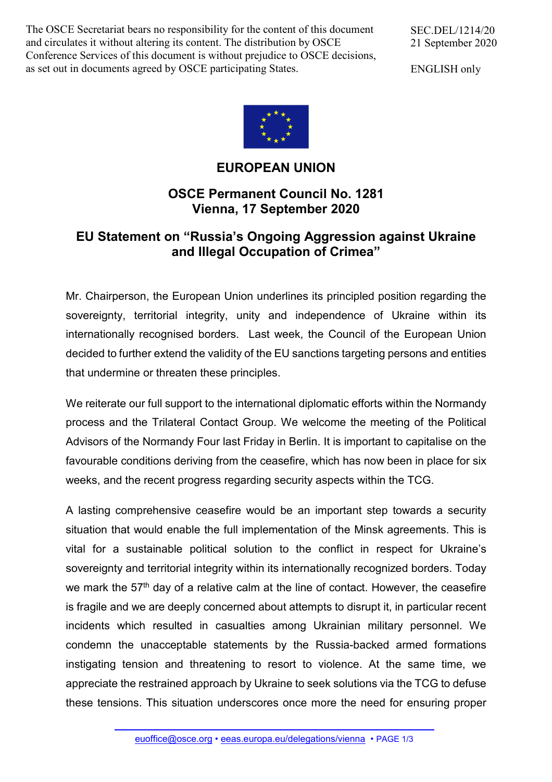The OSCE Secretariat bears no responsibility for the content of this document and circulates it without altering its content. The distribution by OSCE Conference Services of this document is without prejudice to OSCE decisions, as set out in documents agreed by OSCE participating States.

SEC.DEL/1214/20 21 September 2020

ENGLISH only



## **EUROPEAN UNION**

## **OSCE Permanent Council No. 1281 Vienna, 17 September 2020**

## **EU Statement on "Russia's Ongoing Aggression against Ukraine and Illegal Occupation of Crimea"**

Mr. Chairperson, the European Union underlines its principled position regarding the sovereignty, territorial integrity, unity and independence of Ukraine within its internationally recognised borders. Last week, the Council of the European Union decided to further extend the validity of the EU sanctions targeting persons and entities that undermine or threaten these principles.

We reiterate our full support to the international diplomatic efforts within the Normandy process and the Trilateral Contact Group. We welcome the meeting of the Political Advisors of the Normandy Four last Friday in Berlin. It is important to capitalise on the favourable conditions deriving from the ceasefire, which has now been in place for six weeks, and the recent progress regarding security aspects within the TCG.

A lasting comprehensive ceasefire would be an important step towards a security situation that would enable the full implementation of the Minsk agreements. This is vital for a sustainable political solution to the conflict in respect for Ukraine's sovereignty and territorial integrity within its internationally recognized borders. Today we mark the 57<sup>th</sup> day of a relative calm at the line of contact. However, the ceasefire is fragile and we are deeply concerned about attempts to disrupt it, in particular recent incidents which resulted in casualties among Ukrainian military personnel. We condemn the unacceptable statements by the Russia-backed armed formations instigating tension and threatening to resort to violence. At the same time, we appreciate the restrained approach by Ukraine to seek solutions via the TCG to defuse these tensions. This situation underscores once more the need for ensuring proper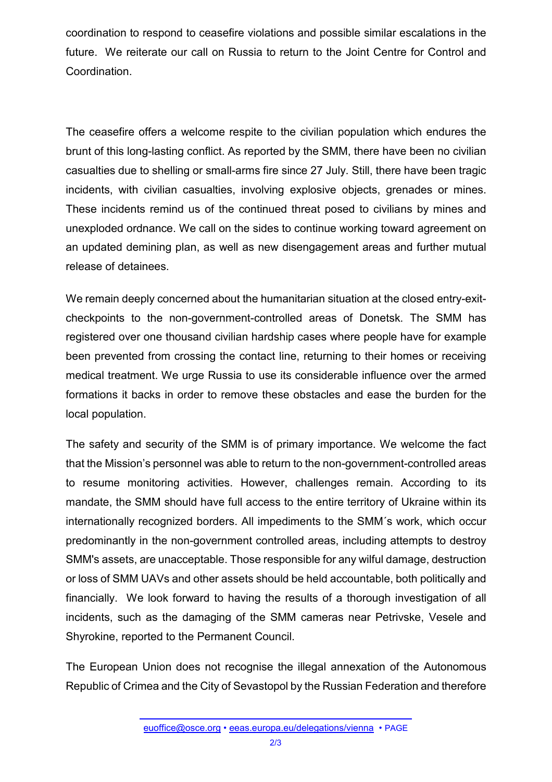coordination to respond to ceasefire violations and possible similar escalations in the future. We reiterate our call on Russia to return to the Joint Centre for Control and Coordination.

The ceasefire offers a welcome respite to the civilian population which endures the brunt of this long-lasting conflict. As reported by the SMM, there have been no civilian casualties due to shelling or small-arms fire since 27 July. Still, there have been tragic incidents, with civilian casualties, involving explosive objects, grenades or mines. These incidents remind us of the continued threat posed to civilians by mines and unexploded ordnance. We call on the sides to continue working toward agreement on an updated demining plan, as well as new disengagement areas and further mutual release of detainees.

We remain deeply concerned about the humanitarian situation at the closed entry-exitcheckpoints to the non-government-controlled areas of Donetsk. The SMM has registered over one thousand civilian hardship cases where people have for example been prevented from crossing the contact line, returning to their homes or receiving medical treatment. We urge Russia to use its considerable influence over the armed formations it backs in order to remove these obstacles and ease the burden for the local population.

The safety and security of the SMM is of primary importance. We welcome the fact that the Mission's personnel was able to return to the non-government-controlled areas to resume monitoring activities. However, challenges remain. According to its mandate, the SMM should have full access to the entire territory of Ukraine within its internationally recognized borders. All impediments to the SMM´s work, which occur predominantly in the non-government controlled areas, including attempts to destroy SMM's assets, are unacceptable. Those responsible for any wilful damage, destruction or loss of SMM UAVs and other assets should be held accountable, both politically and financially. We look forward to having the results of a thorough investigation of all incidents, such as the damaging of the SMM cameras near Petrivske, Vesele and Shyrokine, reported to the Permanent Council.

The European Union does not recognise the illegal annexation of the Autonomous Republic of Crimea and the City of Sevastopol by the Russian Federation and therefore